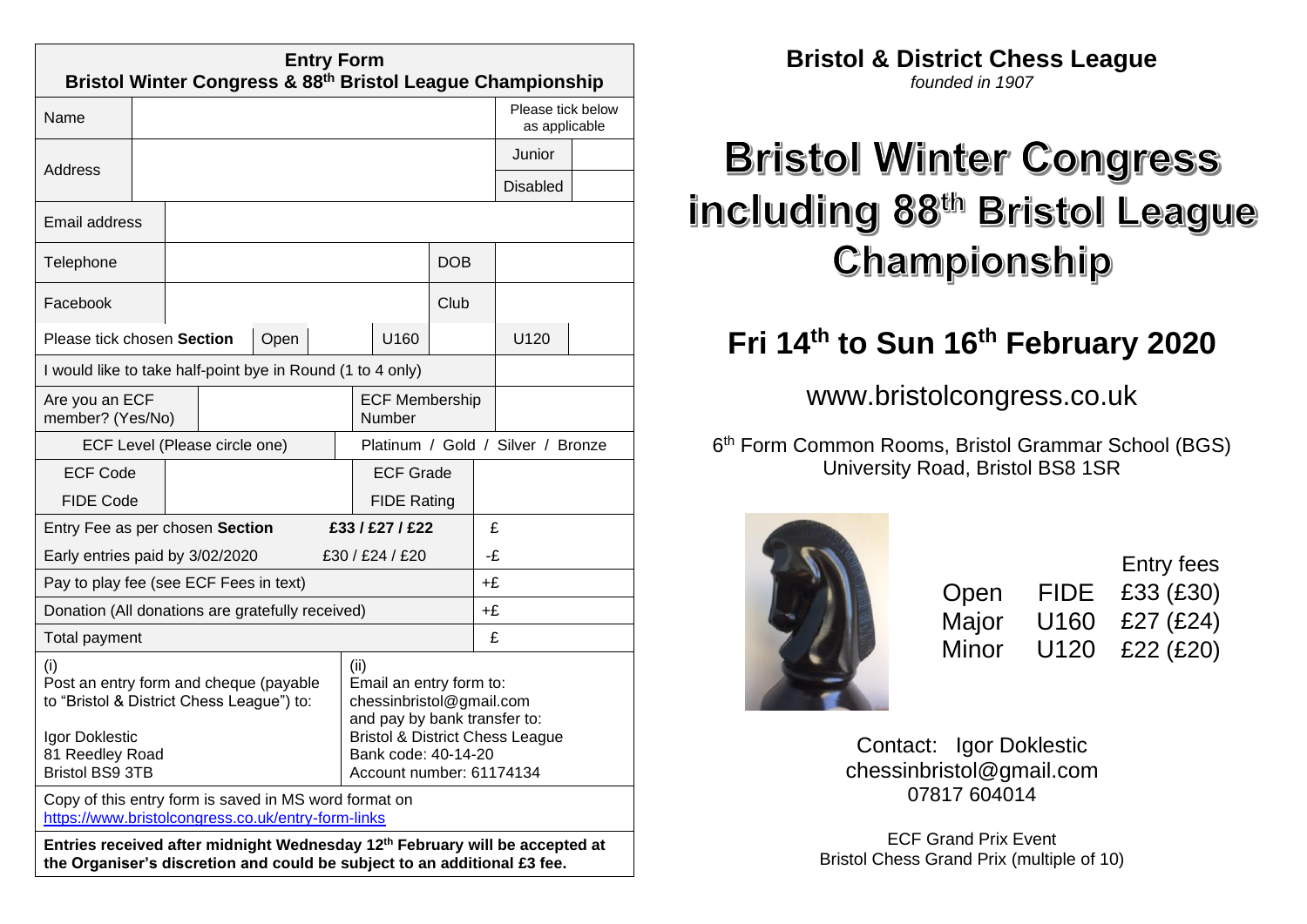| <b>Entry Form</b><br>Bristol Winter Congress & 88 <sup>th</sup> Bristol League Championship                                                                         |                                                  |  |  |                                                                                                                                                                                              |                       |    |                                    |   |  |                 |  |
|---------------------------------------------------------------------------------------------------------------------------------------------------------------------|--------------------------------------------------|--|--|----------------------------------------------------------------------------------------------------------------------------------------------------------------------------------------------|-----------------------|----|------------------------------------|---|--|-----------------|--|
| Name                                                                                                                                                                |                                                  |  |  |                                                                                                                                                                                              |                       |    | Please tick below<br>as applicable |   |  |                 |  |
|                                                                                                                                                                     |                                                  |  |  |                                                                                                                                                                                              |                       |    |                                    |   |  | Junior          |  |
| Address                                                                                                                                                             |                                                  |  |  |                                                                                                                                                                                              |                       |    |                                    |   |  | <b>Disabled</b> |  |
| <b>Email address</b>                                                                                                                                                |                                                  |  |  |                                                                                                                                                                                              |                       |    |                                    |   |  |                 |  |
| Telephone                                                                                                                                                           |                                                  |  |  |                                                                                                                                                                                              |                       |    | <b>DOB</b>                         |   |  |                 |  |
| Facebook                                                                                                                                                            |                                                  |  |  |                                                                                                                                                                                              |                       |    | Club                               |   |  |                 |  |
| Please tick chosen Section                                                                                                                                          |                                                  |  |  | Open                                                                                                                                                                                         |                       |    | U160                               |   |  | U120            |  |
| I would like to take half-point bye in Round (1 to 4 only)                                                                                                          |                                                  |  |  |                                                                                                                                                                                              |                       |    |                                    |   |  |                 |  |
| Are you an ECF<br>member? (Yes/No)                                                                                                                                  |                                                  |  |  | <b>ECF Membership</b><br>Number                                                                                                                                                              |                       |    |                                    |   |  |                 |  |
| ECF Level (Please circle one)                                                                                                                                       |                                                  |  |  | Platinum / Gold / Silver / Bronze                                                                                                                                                            |                       |    |                                    |   |  |                 |  |
|                                                                                                                                                                     | <b>ECF Code</b>                                  |  |  |                                                                                                                                                                                              | <b>ECF Grade</b>      |    |                                    |   |  |                 |  |
|                                                                                                                                                                     | <b>FIDE Code</b>                                 |  |  |                                                                                                                                                                                              | <b>FIDE Rating</b>    |    |                                    |   |  |                 |  |
| Entry Fee as per chosen Section                                                                                                                                     |                                                  |  |  |                                                                                                                                                                                              | £33 / £27 / £22       |    |                                    | £ |  |                 |  |
| Early entries paid by 3/02/2020                                                                                                                                     |                                                  |  |  |                                                                                                                                                                                              | £30 / £24 / £20<br>-£ |    |                                    |   |  |                 |  |
| Pay to play fee (see ECF Fees in text)                                                                                                                              |                                                  |  |  |                                                                                                                                                                                              | +£                    |    |                                    |   |  |                 |  |
|                                                                                                                                                                     | Donation (All donations are gratefully received) |  |  |                                                                                                                                                                                              |                       | +£ |                                    |   |  |                 |  |
| Total payment                                                                                                                                                       |                                                  |  |  |                                                                                                                                                                                              |                       |    |                                    | £ |  |                 |  |
| (i)<br>Post an entry form and cheque (payable<br>to "Bristol & District Chess League") to:<br>Igor Doklestic<br>81 Reedley Road<br><b>Bristol BS9 3TB</b>           |                                                  |  |  | (ii)<br>Email an entry form to:<br>chessinbristol@gmail.com<br>and pay by bank transfer to:<br><b>Bristol &amp; District Chess League</b><br>Bank code: 40-14-20<br>Account number: 61174134 |                       |    |                                    |   |  |                 |  |
| Copy of this entry form is saved in MS word format on<br>https://www.bristolcongress.co.uk/entry-form-links                                                         |                                                  |  |  |                                                                                                                                                                                              |                       |    |                                    |   |  |                 |  |
| Entries received after midnight Wednesday 12 <sup>th</sup> February will be accepted at<br>the Organiser's discretion and could be subject to an additional £3 fee. |                                                  |  |  |                                                                                                                                                                                              |                       |    |                                    |   |  |                 |  |

**Bristol & District Chess League**

*founded in 1907*

# **Bristol Winter Congress** including 88th Bristol League Championship

# **Fri 14 th to Sun 16 th February 2020**

www.bristolcongress.co.uk

6 th Form Common Rooms, Bristol Grammar School (BGS) University Road, Bristol BS8 1SR



|       |      | Entry fees  |
|-------|------|-------------|
| Open  | FIDE | £33 (£30)   |
| Major | U160 | £27 $(£24)$ |
| Minor | U120 | £22 $(E20)$ |

Contact: Igor Doklestic [chessinbristol@gmail.com](mailto:chessinbristol@gmail.com) 07817 604014

ECF Grand Prix Event Bristol Chess Grand Prix (multiple of 10)